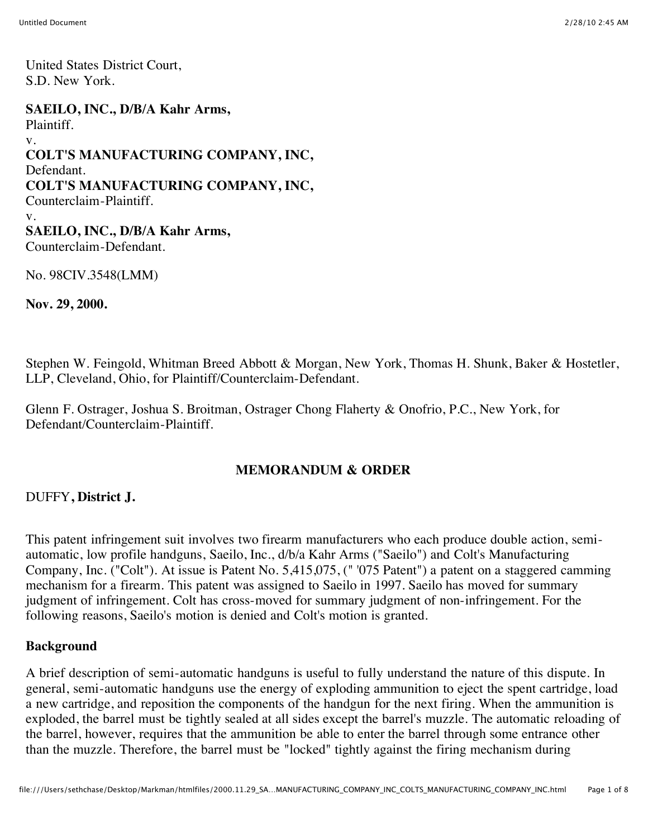United States District Court, S.D. New York.

**SAEILO, INC., D/B/A Kahr Arms,** Plaintiff. v. **COLT'S MANUFACTURING COMPANY, INC,** Defendant. **COLT'S MANUFACTURING COMPANY, INC,** Counterclaim-Plaintiff. v. **SAEILO, INC., D/B/A Kahr Arms,** Counterclaim-Defendant.

No. 98CIV.3548(LMM)

**Nov. 29, 2000.**

Stephen W. Feingold, Whitman Breed Abbott & Morgan, New York, Thomas H. Shunk, Baker & Hostetler, LLP, Cleveland, Ohio, for Plaintiff/Counterclaim-Defendant.

Glenn F. Ostrager, Joshua S. Broitman, Ostrager Chong Flaherty & Onofrio, P.C., New York, for Defendant/Counterclaim-Plaintiff.

#### **MEMORANDUM & ORDER**

#### DUFFY**, District J.**

This patent infringement suit involves two firearm manufacturers who each produce double action, semiautomatic, low profile handguns, Saeilo, Inc., d/b/a Kahr Arms ("Saeilo") and Colt's Manufacturing Company, Inc. ("Colt"). At issue is Patent No. 5,415,075, (" '075 Patent") a patent on a staggered camming mechanism for a firearm. This patent was assigned to Saeilo in 1997. Saeilo has moved for summary judgment of infringement. Colt has cross-moved for summary judgment of non-infringement. For the following reasons, Saeilo's motion is denied and Colt's motion is granted.

#### **Background**

A brief description of semi-automatic handguns is useful to fully understand the nature of this dispute. In general, semi-automatic handguns use the energy of exploding ammunition to eject the spent cartridge, load a new cartridge, and reposition the components of the handgun for the next firing. When the ammunition is exploded, the barrel must be tightly sealed at all sides except the barrel's muzzle. The automatic reloading of the barrel, however, requires that the ammunition be able to enter the barrel through some entrance other than the muzzle. Therefore, the barrel must be "locked" tightly against the firing mechanism during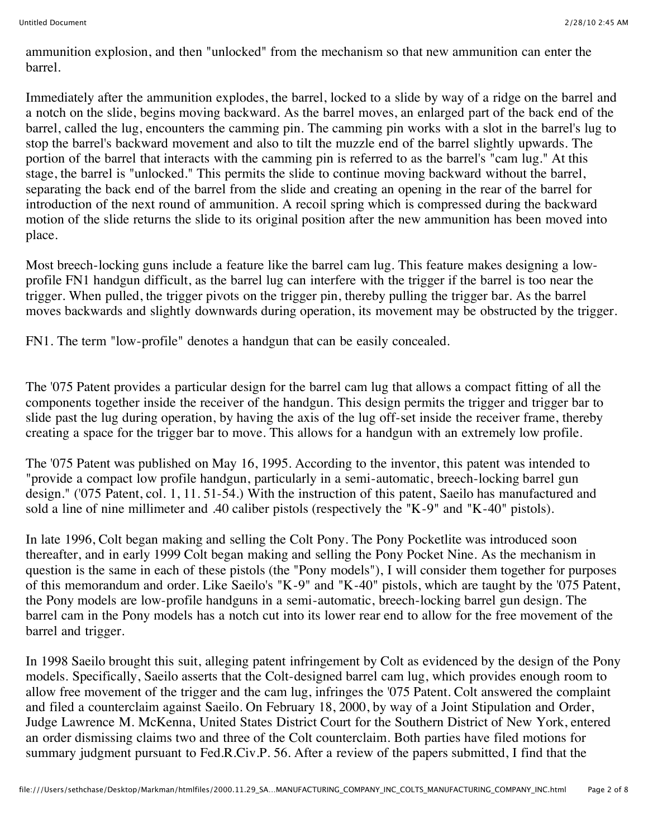ammunition explosion, and then "unlocked" from the mechanism so that new ammunition can enter the barrel.

Immediately after the ammunition explodes, the barrel, locked to a slide by way of a ridge on the barrel and a notch on the slide, begins moving backward. As the barrel moves, an enlarged part of the back end of the barrel, called the lug, encounters the camming pin. The camming pin works with a slot in the barrel's lug to stop the barrel's backward movement and also to tilt the muzzle end of the barrel slightly upwards. The portion of the barrel that interacts with the camming pin is referred to as the barrel's "cam lug." At this stage, the barrel is "unlocked." This permits the slide to continue moving backward without the barrel, separating the back end of the barrel from the slide and creating an opening in the rear of the barrel for introduction of the next round of ammunition. A recoil spring which is compressed during the backward motion of the slide returns the slide to its original position after the new ammunition has been moved into place.

Most breech-locking guns include a feature like the barrel cam lug. This feature makes designing a lowprofile FN1 handgun difficult, as the barrel lug can interfere with the trigger if the barrel is too near the trigger. When pulled, the trigger pivots on the trigger pin, thereby pulling the trigger bar. As the barrel moves backwards and slightly downwards during operation, its movement may be obstructed by the trigger.

FN1. The term "low-profile" denotes a handgun that can be easily concealed.

The '075 Patent provides a particular design for the barrel cam lug that allows a compact fitting of all the components together inside the receiver of the handgun. This design permits the trigger and trigger bar to slide past the lug during operation, by having the axis of the lug off-set inside the receiver frame, thereby creating a space for the trigger bar to move. This allows for a handgun with an extremely low profile.

The '075 Patent was published on May 16, 1995. According to the inventor, this patent was intended to "provide a compact low profile handgun, particularly in a semi-automatic, breech-locking barrel gun design." ('075 Patent, col. 1, 11. 51-54.) With the instruction of this patent, Saeilo has manufactured and sold a line of nine millimeter and .40 caliber pistols (respectively the "K-9" and "K-40" pistols).

In late 1996, Colt began making and selling the Colt Pony. The Pony Pocketlite was introduced soon thereafter, and in early 1999 Colt began making and selling the Pony Pocket Nine. As the mechanism in question is the same in each of these pistols (the "Pony models"), I will consider them together for purposes of this memorandum and order. Like Saeilo's "K-9" and "K-40" pistols, which are taught by the '075 Patent, the Pony models are low-profile handguns in a semi-automatic, breech-locking barrel gun design. The barrel cam in the Pony models has a notch cut into its lower rear end to allow for the free movement of the barrel and trigger.

In 1998 Saeilo brought this suit, alleging patent infringement by Colt as evidenced by the design of the Pony models. Specifically, Saeilo asserts that the Colt-designed barrel cam lug, which provides enough room to allow free movement of the trigger and the cam lug, infringes the '075 Patent. Colt answered the complaint and filed a counterclaim against Saeilo. On February 18, 2000, by way of a Joint Stipulation and Order, Judge Lawrence M. McKenna, United States District Court for the Southern District of New York, entered an order dismissing claims two and three of the Colt counterclaim. Both parties have filed motions for summary judgment pursuant to Fed.R.Civ.P. 56. After a review of the papers submitted, I find that the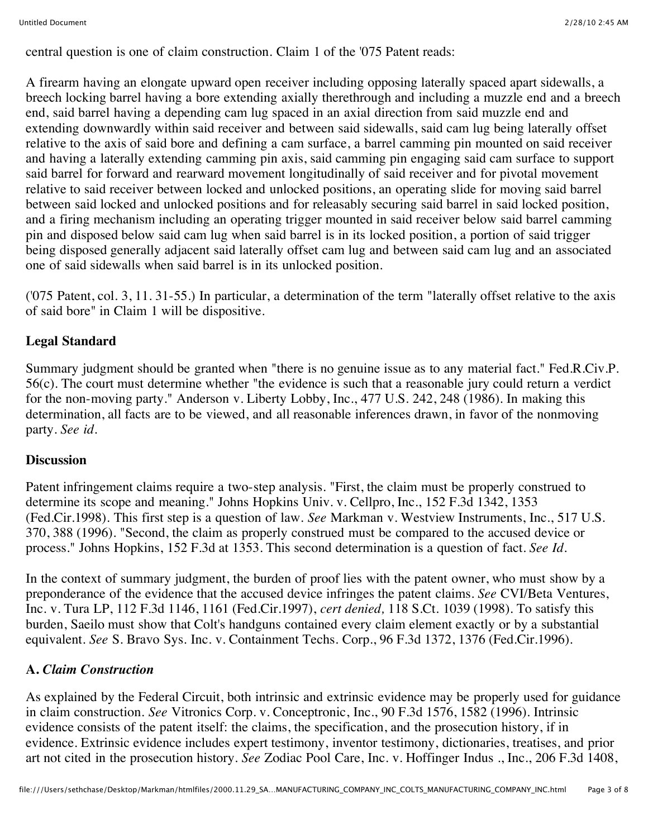central question is one of claim construction. Claim 1 of the '075 Patent reads:

A firearm having an elongate upward open receiver including opposing laterally spaced apart sidewalls, a breech locking barrel having a bore extending axially therethrough and including a muzzle end and a breech end, said barrel having a depending cam lug spaced in an axial direction from said muzzle end and extending downwardly within said receiver and between said sidewalls, said cam lug being laterally offset relative to the axis of said bore and defining a cam surface, a barrel camming pin mounted on said receiver and having a laterally extending camming pin axis, said camming pin engaging said cam surface to support said barrel for forward and rearward movement longitudinally of said receiver and for pivotal movement relative to said receiver between locked and unlocked positions, an operating slide for moving said barrel between said locked and unlocked positions and for releasably securing said barrel in said locked position, and a firing mechanism including an operating trigger mounted in said receiver below said barrel camming pin and disposed below said cam lug when said barrel is in its locked position, a portion of said trigger being disposed generally adjacent said laterally offset cam lug and between said cam lug and an associated one of said sidewalls when said barrel is in its unlocked position.

('075 Patent, col. 3, 11. 31-55.) In particular, a determination of the term "laterally offset relative to the axis of said bore" in Claim 1 will be dispositive.

# **Legal Standard**

Summary judgment should be granted when "there is no genuine issue as to any material fact." Fed.R.Civ.P. 56(c). The court must determine whether "the evidence is such that a reasonable jury could return a verdict for the non-moving party." Anderson v. Liberty Lobby, Inc., 477 U.S. 242, 248 (1986). In making this determination, all facts are to be viewed, and all reasonable inferences drawn, in favor of the nonmoving party. *See id.*

### **Discussion**

Patent infringement claims require a two-step analysis. "First, the claim must be properly construed to determine its scope and meaning." Johns Hopkins Univ. v. Cellpro, Inc., 152 F.3d 1342, 1353 (Fed.Cir.1998). This first step is a question of law. *See* Markman v. Westview Instruments, Inc., 517 U.S. 370, 388 (1996). "Second, the claim as properly construed must be compared to the accused device or process." Johns Hopkins, 152 F.3d at 1353. This second determination is a question of fact. *See Id.*

In the context of summary judgment, the burden of proof lies with the patent owner, who must show by a preponderance of the evidence that the accused device infringes the patent claims. *See* CVI/Beta Ventures, Inc. v. Tura LP, 112 F.3d 1146, 1161 (Fed.Cir.1997), *cert denied,* 118 S.Ct. 1039 (1998). To satisfy this burden, Saeilo must show that Colt's handguns contained every claim element exactly or by a substantial equivalent. *See* S. Bravo Sys. Inc. v. Containment Techs. Corp., 96 F.3d 1372, 1376 (Fed.Cir.1996).

### **A.** *Claim Construction*

As explained by the Federal Circuit, both intrinsic and extrinsic evidence may be properly used for guidance in claim construction. *See* Vitronics Corp. v. Conceptronic, Inc., 90 F.3d 1576, 1582 (1996). Intrinsic evidence consists of the patent itself: the claims, the specification, and the prosecution history, if in evidence. Extrinsic evidence includes expert testimony, inventor testimony, dictionaries, treatises, and prior art not cited in the prosecution history. *See* Zodiac Pool Care, Inc. v. Hoffinger Indus ., Inc., 206 F.3d 1408,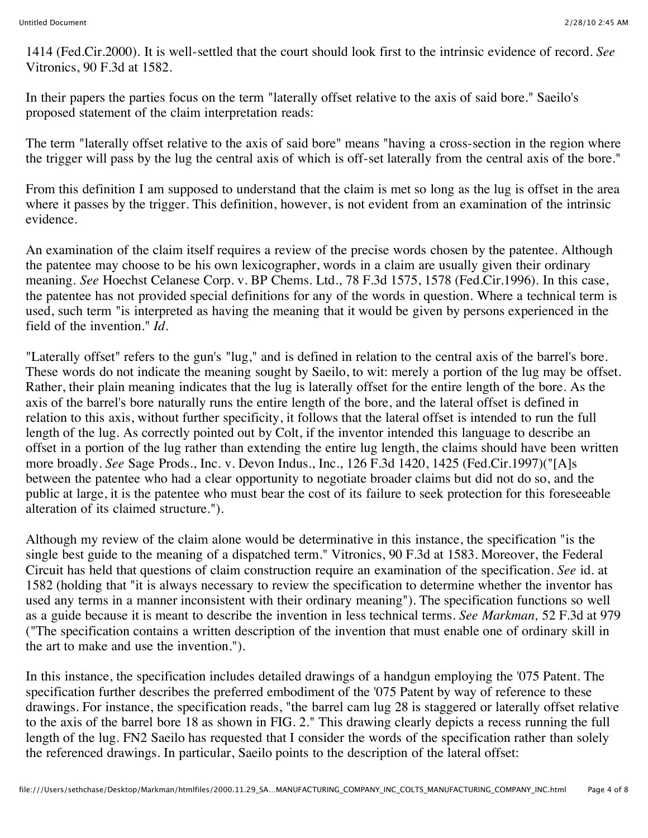1414 (Fed.Cir.2000). It is well-settled that the court should look first to the intrinsic evidence of record. *See* Vitronics, 90 F.3d at 1582.

In their papers the parties focus on the term "laterally offset relative to the axis of said bore." Saeilo's proposed statement of the claim interpretation reads:

The term "laterally offset relative to the axis of said bore" means "having a cross-section in the region where the trigger will pass by the lug the central axis of which is off-set laterally from the central axis of the bore."

From this definition I am supposed to understand that the claim is met so long as the lug is offset in the area where it passes by the trigger. This definition, however, is not evident from an examination of the intrinsic evidence.

An examination of the claim itself requires a review of the precise words chosen by the patentee. Although the patentee may choose to be his own lexicographer, words in a claim are usually given their ordinary meaning. *See* Hoechst Celanese Corp. v. BP Chems. Ltd., 78 F.3d 1575, 1578 (Fed.Cir.1996). In this case, the patentee has not provided special definitions for any of the words in question. Where a technical term is used, such term "is interpreted as having the meaning that it would be given by persons experienced in the field of the invention." *Id.*

"Laterally offset" refers to the gun's "lug," and is defined in relation to the central axis of the barrel's bore. These words do not indicate the meaning sought by Saeilo, to wit: merely a portion of the lug may be offset. Rather, their plain meaning indicates that the lug is laterally offset for the entire length of the bore. As the axis of the barrel's bore naturally runs the entire length of the bore, and the lateral offset is defined in relation to this axis, without further specificity, it follows that the lateral offset is intended to run the full length of the lug. As correctly pointed out by Colt, if the inventor intended this language to describe an offset in a portion of the lug rather than extending the entire lug length, the claims should have been written more broadly. *See* Sage Prods., Inc. v. Devon Indus., Inc., 126 F.3d 1420, 1425 (Fed.Cir.1997)("[A]s between the patentee who had a clear opportunity to negotiate broader claims but did not do so, and the public at large, it is the patentee who must bear the cost of its failure to seek protection for this foreseeable alteration of its claimed structure.").

Although my review of the claim alone would be determinative in this instance, the specification "is the single best guide to the meaning of a dispatched term." Vitronics, 90 F.3d at 1583. Moreover, the Federal Circuit has held that questions of claim construction require an examination of the specification. *See* id. at 1582 (holding that "it is always necessary to review the specification to determine whether the inventor has used any terms in a manner inconsistent with their ordinary meaning"). The specification functions so well as a guide because it is meant to describe the invention in less technical terms. *See Markman,* 52 F.3d at 979 ("The specification contains a written description of the invention that must enable one of ordinary skill in the art to make and use the invention.").

In this instance, the specification includes detailed drawings of a handgun employing the '075 Patent. The specification further describes the preferred embodiment of the '075 Patent by way of reference to these drawings. For instance, the specification reads, "the barrel cam lug 28 is staggered or laterally offset relative to the axis of the barrel bore 18 as shown in FIG. 2." This drawing clearly depicts a recess running the full length of the lug. FN2 Saeilo has requested that I consider the words of the specification rather than solely the referenced drawings. In particular, Saeilo points to the description of the lateral offset: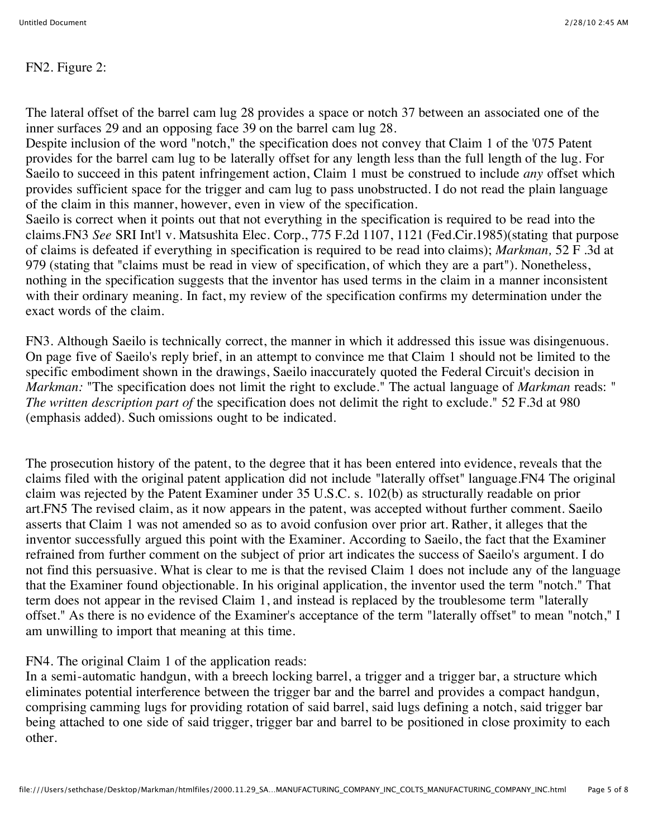FN2. Figure 2:

The lateral offset of the barrel cam lug 28 provides a space or notch 37 between an associated one of the inner surfaces 29 and an opposing face 39 on the barrel cam lug 28.

Despite inclusion of the word "notch," the specification does not convey that Claim 1 of the '075 Patent provides for the barrel cam lug to be laterally offset for any length less than the full length of the lug. For Saeilo to succeed in this patent infringement action, Claim 1 must be construed to include *any* offset which provides sufficient space for the trigger and cam lug to pass unobstructed. I do not read the plain language of the claim in this manner, however, even in view of the specification.

Saeilo is correct when it points out that not everything in the specification is required to be read into the claims.FN3 *See* SRI Int'l v. Matsushita Elec. Corp., 775 F.2d 1107, 1121 (Fed.Cir.1985)(stating that purpose of claims is defeated if everything in specification is required to be read into claims); *Markman,* 52 F .3d at 979 (stating that "claims must be read in view of specification, of which they are a part"). Nonetheless, nothing in the specification suggests that the inventor has used terms in the claim in a manner inconsistent with their ordinary meaning. In fact, my review of the specification confirms my determination under the exact words of the claim.

FN3. Although Saeilo is technically correct, the manner in which it addressed this issue was disingenuous. On page five of Saeilo's reply brief, in an attempt to convince me that Claim 1 should not be limited to the specific embodiment shown in the drawings, Saeilo inaccurately quoted the Federal Circuit's decision in *Markman:* "The specification does not limit the right to exclude." The actual language of *Markman* reads: " *The written description part of* the specification does not delimit the right to exclude." 52 F.3d at 980 (emphasis added). Such omissions ought to be indicated.

The prosecution history of the patent, to the degree that it has been entered into evidence, reveals that the claims filed with the original patent application did not include "laterally offset" language.FN4 The original claim was rejected by the Patent Examiner under 35 U.S.C. s. 102(b) as structurally readable on prior art.FN5 The revised claim, as it now appears in the patent, was accepted without further comment. Saeilo asserts that Claim 1 was not amended so as to avoid confusion over prior art. Rather, it alleges that the inventor successfully argued this point with the Examiner. According to Saeilo, the fact that the Examiner refrained from further comment on the subject of prior art indicates the success of Saeilo's argument. I do not find this persuasive. What is clear to me is that the revised Claim 1 does not include any of the language that the Examiner found objectionable. In his original application, the inventor used the term "notch." That term does not appear in the revised Claim 1, and instead is replaced by the troublesome term "laterally offset." As there is no evidence of the Examiner's acceptance of the term "laterally offset" to mean "notch," I am unwilling to import that meaning at this time.

FN4. The original Claim 1 of the application reads:

In a semi-automatic handgun, with a breech locking barrel, a trigger and a trigger bar, a structure which eliminates potential interference between the trigger bar and the barrel and provides a compact handgun, comprising camming lugs for providing rotation of said barrel, said lugs defining a notch, said trigger bar being attached to one side of said trigger, trigger bar and barrel to be positioned in close proximity to each other.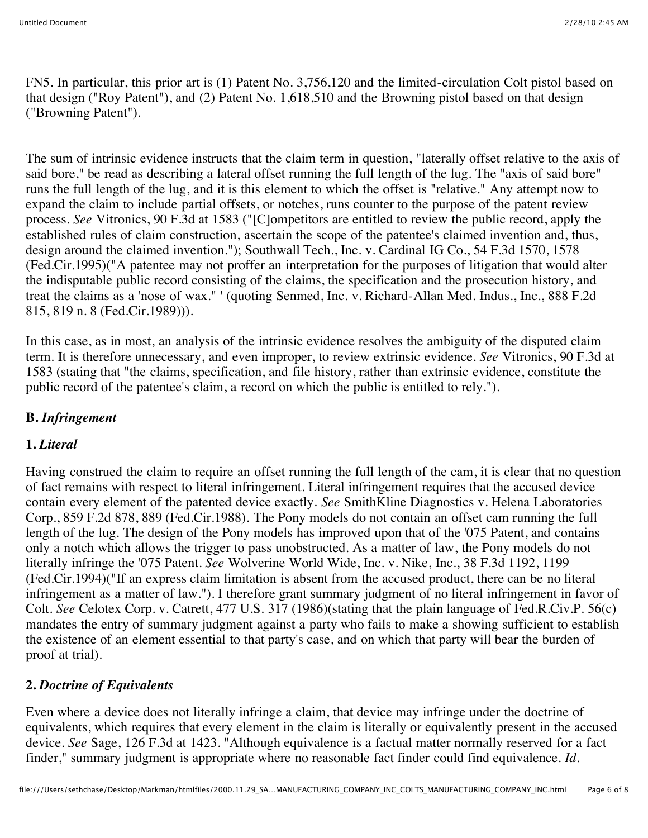FN5. In particular, this prior art is (1) Patent No. 3,756,120 and the limited-circulation Colt pistol based on that design ("Roy Patent"), and (2) Patent No. 1,618,510 and the Browning pistol based on that design ("Browning Patent").

The sum of intrinsic evidence instructs that the claim term in question, "laterally offset relative to the axis of said bore," be read as describing a lateral offset running the full length of the lug. The "axis of said bore" runs the full length of the lug, and it is this element to which the offset is "relative." Any attempt now to expand the claim to include partial offsets, or notches, runs counter to the purpose of the patent review process. *See* Vitronics, 90 F.3d at 1583 ("[C]ompetitors are entitled to review the public record, apply the established rules of claim construction, ascertain the scope of the patentee's claimed invention and, thus, design around the claimed invention."); Southwall Tech., Inc. v. Cardinal IG Co., 54 F.3d 1570, 1578 (Fed.Cir.1995)("A patentee may not proffer an interpretation for the purposes of litigation that would alter the indisputable public record consisting of the claims, the specification and the prosecution history, and treat the claims as a 'nose of wax." ' (quoting Senmed, Inc. v. Richard-Allan Med. Indus., Inc., 888 F.2d 815, 819 n. 8 (Fed.Cir.1989))).

In this case, as in most, an analysis of the intrinsic evidence resolves the ambiguity of the disputed claim term. It is therefore unnecessary, and even improper, to review extrinsic evidence. *See* Vitronics, 90 F.3d at 1583 (stating that "the claims, specification, and file history, rather than extrinsic evidence, constitute the public record of the patentee's claim, a record on which the public is entitled to rely.").

# **B.** *Infringement*

## **1.** *Literal*

Having construed the claim to require an offset running the full length of the cam, it is clear that no question of fact remains with respect to literal infringement. Literal infringement requires that the accused device contain every element of the patented device exactly. *See* SmithKline Diagnostics v. Helena Laboratories Corp., 859 F.2d 878, 889 (Fed.Cir.1988). The Pony models do not contain an offset cam running the full length of the lug. The design of the Pony models has improved upon that of the '075 Patent, and contains only a notch which allows the trigger to pass unobstructed. As a matter of law, the Pony models do not literally infringe the '075 Patent. *See* Wolverine World Wide, Inc. v. Nike, Inc., 38 F.3d 1192, 1199 (Fed.Cir.1994)("If an express claim limitation is absent from the accused product, there can be no literal infringement as a matter of law."). I therefore grant summary judgment of no literal infringement in favor of Colt. *See* Celotex Corp. v. Catrett, 477 U.S. 317 (1986)(stating that the plain language of Fed.R.Civ.P. 56(c) mandates the entry of summary judgment against a party who fails to make a showing sufficient to establish the existence of an element essential to that party's case, and on which that party will bear the burden of proof at trial).

## **2.** *Doctrine of Equivalents*

Even where a device does not literally infringe a claim, that device may infringe under the doctrine of equivalents, which requires that every element in the claim is literally or equivalently present in the accused device. *See* Sage, 126 F.3d at 1423. "Although equivalence is a factual matter normally reserved for a fact finder," summary judgment is appropriate where no reasonable fact finder could find equivalence. *Id.*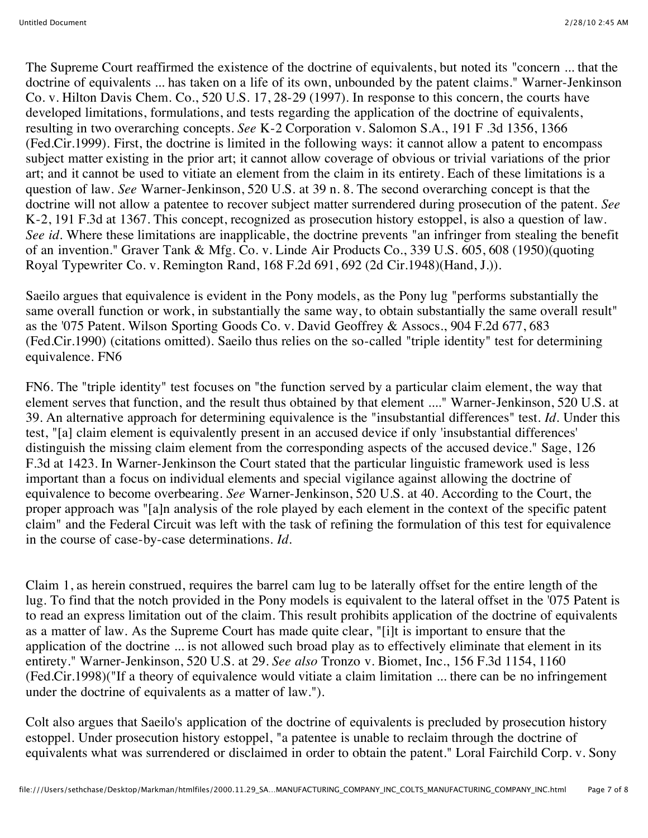The Supreme Court reaffirmed the existence of the doctrine of equivalents, but noted its "concern ... that the doctrine of equivalents ... has taken on a life of its own, unbounded by the patent claims." Warner-Jenkinson Co. v. Hilton Davis Chem. Co., 520 U.S. 17, 28-29 (1997). In response to this concern, the courts have developed limitations, formulations, and tests regarding the application of the doctrine of equivalents, resulting in two overarching concepts. *See* K-2 Corporation v. Salomon S.A., 191 F .3d 1356, 1366 (Fed.Cir.1999). First, the doctrine is limited in the following ways: it cannot allow a patent to encompass subject matter existing in the prior art; it cannot allow coverage of obvious or trivial variations of the prior art; and it cannot be used to vitiate an element from the claim in its entirety. Each of these limitations is a question of law. *See* Warner-Jenkinson, 520 U.S. at 39 n. 8. The second overarching concept is that the doctrine will not allow a patentee to recover subject matter surrendered during prosecution of the patent. *See* K-2, 191 F.3d at 1367. This concept, recognized as prosecution history estoppel, is also a question of law. *See id.* Where these limitations are inapplicable, the doctrine prevents "an infringer from stealing the benefit of an invention." Graver Tank & Mfg. Co. v. Linde Air Products Co., 339 U.S. 605, 608 (1950)(quoting Royal Typewriter Co. v. Remington Rand, 168 F.2d 691, 692 (2d Cir.1948)(Hand, J.)).

Saeilo argues that equivalence is evident in the Pony models, as the Pony lug "performs substantially the same overall function or work, in substantially the same way, to obtain substantially the same overall result" as the '075 Patent. Wilson Sporting Goods Co. v. David Geoffrey & Assocs., 904 F.2d 677, 683 (Fed.Cir.1990) (citations omitted). Saeilo thus relies on the so-called "triple identity" test for determining equivalence. FN6

FN6. The "triple identity" test focuses on "the function served by a particular claim element, the way that element serves that function, and the result thus obtained by that element ...." Warner-Jenkinson, 520 U.S. at 39. An alternative approach for determining equivalence is the "insubstantial differences" test. *Id.* Under this test, "[a] claim element is equivalently present in an accused device if only 'insubstantial differences' distinguish the missing claim element from the corresponding aspects of the accused device." Sage, 126 F.3d at 1423. In Warner-Jenkinson the Court stated that the particular linguistic framework used is less important than a focus on individual elements and special vigilance against allowing the doctrine of equivalence to become overbearing. *See* Warner-Jenkinson, 520 U.S. at 40. According to the Court, the proper approach was "[a]n analysis of the role played by each element in the context of the specific patent claim" and the Federal Circuit was left with the task of refining the formulation of this test for equivalence in the course of case-by-case determinations. *Id.*

Claim 1, as herein construed, requires the barrel cam lug to be laterally offset for the entire length of the lug. To find that the notch provided in the Pony models is equivalent to the lateral offset in the '075 Patent is to read an express limitation out of the claim. This result prohibits application of the doctrine of equivalents as a matter of law. As the Supreme Court has made quite clear, "[i]t is important to ensure that the application of the doctrine ... is not allowed such broad play as to effectively eliminate that element in its entirety." Warner-Jenkinson, 520 U.S. at 29. *See also* Tronzo v. Biomet, Inc., 156 F.3d 1154, 1160 (Fed.Cir.1998)("If a theory of equivalence would vitiate a claim limitation ... there can be no infringement under the doctrine of equivalents as a matter of law.").

Colt also argues that Saeilo's application of the doctrine of equivalents is precluded by prosecution history estoppel. Under prosecution history estoppel, "a patentee is unable to reclaim through the doctrine of equivalents what was surrendered or disclaimed in order to obtain the patent." Loral Fairchild Corp. v. Sony